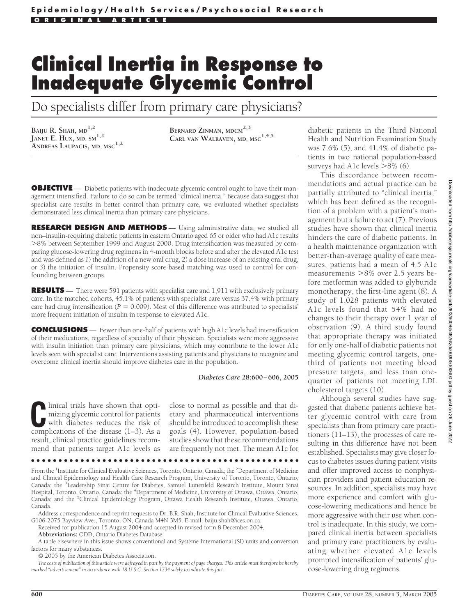# **Clinical Inertia in Response to Inadequate Glycemic Control**

Do specialists differ from primary care physicians?

**BAIJU R. SHAH, MD1,2** JANET **E.** HUX, MD, SM<sup>1,2</sup> **ANDREAS LAUPACIS, MD, MSC1,2** **BERNARD ZINMAN, MDCM2,3 CARL VAN WALRAVEN, MD, MSC1,4,5**

**OBJECTIVE** — Diabetic patients with inadequate glycemic control ought to have their management intensified. Failure to do so can be termed "clinical inertia." Because data suggest that specialist care results in better control than primary care, we evaluated whether specialists demonstrated less clinical inertia than primary care physicians.

**RESEARCH DESIGN AND METHODS** — Using administrative data, we studied all non–insulin-requiring diabetic patients in eastern Ontario aged 65 or older who had A1c results 8% between September 1999 and August 2000. Drug intensification was measured by comparing glucose-lowering drug regimens in 4-month blocks before and after the elevated A1c test and was defined as *1*) the addition of a new oral drug, *2*) a dose increase of an existing oral drug, or *3*) the initiation of insulin. Propensity score-based matching was used to control for confounding between groups.

RESULTS - There were 591 patients with specialist care and 1,911 with exclusively primary care. In the matched cohorts, 45.1% of patients with specialist care versus 37.4% with primary care had drug intensification ( $P = 0.009$ ). Most of this difference was attributed to specialists' more frequent initiation of insulin in response to elevated A1c.

**CONCLUSIONS** — Fewer than one-half of patients with high A1c levels had intensification of their medications, regardless of specialty of their physician. Specialists were more aggressive with insulin initiation than primary care physicians, which may contribute to the lower A1c levels seen with specialist care. Interventions assisting patients and physicians to recognize and overcome clinical inertia should improve diabetes care in the population.

#### *Diabetes Care* **28:600 – 606, 2005**

**C**linical trials have shown that optimizing glycemic control for patients with diabetes reduces the risk of complications of the disease (1–3). As a result, clinical practice guidelines recommend that patients target A1c levels as

close to normal as possible and that dietary and pharmaceutical interventions should be introduced to accomplish these goals (4). However, population-based studies show that these recommendations are frequently not met. The mean A1c for

From the <sup>1</sup>Institute for Clinical Evaluative Sciences, Toronto, Ontario, Canada; the <sup>2</sup>Department of Medicine and Clinical Epidemiology and Health Care Research Program, University of Toronto, Toronto, Ontario, Canada; the <sup>3</sup>Leadership Sinai Centre for Diabetes, Samuel Lunenfeld Research Institute, Mount Sinai Hospital, Toronto, Ontario, Canada; the <sup>4</sup>Department of Medicine, University of Ottawa, Ottawa, Ontario, Canada; and the <sup>5</sup>Clinical Epidemiology Program, Ottawa Health Research Institute, Ottawa, Ontario, Canada.

●●●●●●●●●●●●●●●●●●●●●●●●●●●●●●●●●●●●●●●●●●●●●●●●●

Address correspondence and reprint requests to Dr. B.R. Shah, Institute for Clinical Evaluative Sciences, G106-2075 Bayview Ave., Toronto, ON, Canada M4N 3M5. E-mail: baiju.shah@ices.on.ca.

Received for publication 15 August 2004 and accepted in revised form 8 December 2004.

**Abbreviations:** ODD, Ontario Diabetes Database.

A table elsewhere in this issue shows conventional and Système International (SI) units and conversion factors for many substances.

© 2005 by the American Diabetes Association.

*The costs of publication of this article were defrayed in part by the payment of page charges. This article must therefore be hereby marked "advertisement" in accordance with 18 U.S.C. Section 1734 solely to indicate this fact.*

diabetic patients in the Third National Health and Nutrition Examination Study was 7.6% (5), and 41.4% of diabetic patients in two national population-based surveys had A1c levels  $>8\%$  (6).

This discordance between recommendations and actual practice can be partially attributed to "clinical inertia," which has been defined as the recognition of a problem with a patient's management but a failure to act (7). Previous studies have shown that clinical inertia hinders the care of diabetic patients. In a health maintenance organization with better-than-average quality of care measures, patients had a mean of 4.5 A1c measurements >8% over 2.5 years before metformin was added to glyburide monotherapy, the first-line agent (8). A study of 1,028 patients with elevated A1c levels found that 54% had no changes to their therapy over 1 year of observation (9). A third study found that appropriate therapy was initiated for only one-half of diabetic patients not meeting glycemic control targets, onethird of patients not meeting blood pressure targets, and less than onequarter of patients not meeting LDL cholesterol targets (10).

Although several studies have suggested that diabetic patients achieve better glycemic control with care from specialists than from primary care practitioners (11–13), the processes of care resulting in this difference have not been established. Specialists may give closer focus to diabetes issues during patient visits and offer improved access to nonphysician providers and patient education resources. In addition, specialists may have more experience and comfort with glucose-lowering medications and hence be more aggressive with their use when control is inadequate. In this study, we compared clinical inertia between specialists and primary care practitioners by evaluating whether elevated A1c levels prompted intensification of patients' glucose-lowering drug regimens.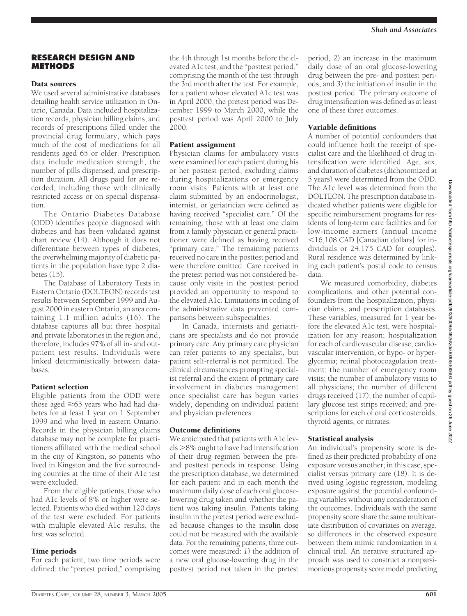#### **RESEARCH DESIGN AND METHODS**

## Data sources

We used several administrative databases detailing health service utilization in Ontario, Canada. Data included hospitalization records, physician billing claims, and records of prescriptions filled under the provincial drug formulary, which pays much of the cost of medications for all residents aged 65 or older. Prescription data include medication strength, the number of pills dispensed, and prescription duration. All drugs paid for are recorded, including those with clinically restricted access or on special dispensation.

The Ontario Diabetes Database (ODD) identifies people diagnosed with diabetes and has been validated against chart review (14). Although it does not differentiate between types of diabetes, the overwhelming majority of diabetic patients in the population have type 2 diabetes (15).

The Database of Laboratory Tests in Eastern Ontario (DOLTEON) records test results between September 1999 and August 2000 in eastern Ontario, an area containing 1.1 million adults (16). The database captures all but three hospital and private laboratories in the region and, therefore, includes 97% of all in- and outpatient test results. Individuals were linked deterministically between databases.

# Patient selection

Eligible patients from the ODD were those aged  $\geq 65$  years who had had diabetes for at least 1 year on 1 September 1999 and who lived in eastern Ontario. Records in the physician billing claims database may not be complete for practitioners affiliated with the medical school in the city of Kingston, so patients who lived in Kingston and the five surrounding counties at the time of their A1c test were excluded.

From the eligible patients, those who had A1c levels of 8% or higher were selected. Patients who died within 120 days of the test were excluded. For patients with multiple elevated A1c results, the first was selected.

# Time periods

For each patient, two time periods were defined: the "pretest period," comprising

the 4th through 1st months before the elevated A1c test, and the "posttest period," comprising the month of the test through the 3rd month after the test. For example, for a patient whose elevated A1c test was in April 2000, the pretest period was December 1999 to March 2000, while the posttest period was April 2000 to July 2000.

## Patient assignment

Physician claims for ambulatory visits were examined for each patient during his or her posttest period, excluding claims during hospitalizations or emergency room visits. Patients with at least one claim submitted by an endocrinologist, internist, or geriatrician were defined as having received "specialist care." Of the remaining, those with at least one claim from a family physician or general practitioner were defined as having received "primary care." The remaining patients received no care in the posttest period and were therefore omitted. Care received in the pretest period was not considered because only visits in the posttest period provided an opportunity to respond to the elevated A1c. Limitations in coding of the administrative data prevented comparisons between subspecialties.

In Canada, internists and geriatricians are specialists and do not provide primary care. Any primary care physician can refer patients to any specialist, but patient self-referral is not permitted. The clinical circumstances prompting specialist referral and the extent of primary care involvement in diabetes management once specialist care has begun varies widely, depending on individual patient and physician preferences.

# Outcome definitions

We anticipated that patients with A1c lev $els > 8\%$  ought to have had intensification of their drug regimen between the preand posttest periods in response. Using the prescription database, we determined for each patient and in each month the maximum daily dose of each oral glucoselowering drug taken and whether the patient was taking insulin. Patients taking insulin in the pretest period were excluded because changes to the insulin dose could not be measured with the available data. For the remaining patients, three outcomes were measured: *1*) the addition of a new oral glucose-lowering drug in the posttest period not taken in the pretest

period, *2*) an increase in the maximum daily dose of an oral glucose-lowering drug between the pre- and posttest periods, and *3*) the initiation of insulin in the posttest period. The primary outcome of drug intensification was defined as at least one of these three outcomes.

# Variable definitions

A number of potential confounders that could influence both the receipt of specialist care and the likelihood of drug intensification were identified. Age, sex, and duration of diabetes (dichotomized at 5 years) were determined from the ODD. The A1c level was determined from the DOLTEON. The prescription database indicated whether patients were eligible for specific reimbursement programs for residents of long-term care facilities and for low-income earners (annual income 16,108 CAD [Canadian dollars] for individuals or 24,175 CAD for couples). Rural residence was determined by linking each patient's postal code to census data.

We measured comorbidity, diabetes complications, and other potential confounders from the hospitalization, physician claims, and prescription databases. These variables, measured for 1 year before the elevated A1c test, were hospitalization for any reason; hospitalization for each of cardiovascular disease, cardiovascular intervention, or hypo- or hyperglycemia; retinal photocoagulation treatment; the number of emergency room visits; the number of ambulatory visits to all physicians; the number of different drugs received (17); the number of capillary glucose test strips received; and prescriptions for each of oral corticosteroids, thyroid agents, or nitrates.

## Statistical analysis

An individual's propensity score is defined as their predicted probability of one exposure versus another; in this case, specialist versus primary care (18). It is derived using logistic regression, modeling exposure against the potential confounding variables without any consideration of the outcomes. Individuals with the same propensity score share the same multivariate distribution of covariates on average, so differences in the observed exposure between them mimic randomization in a clinical trial. An iterative structured approach was used to construct a nonparsimonious propensity score model predicting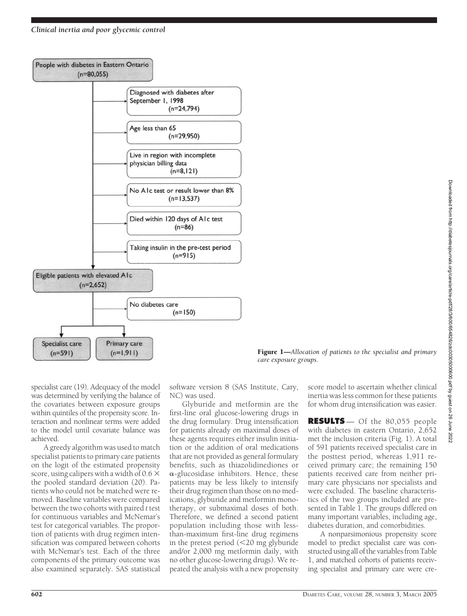

Figure 1—*Allocation of patients to the specialist and primary care exposure groups.*

specialist care (19). Adequacy of the model was determined by verifying the balance of the covariates between exposure groups within quintiles of the propensity score. Interaction and nonlinear terms were added to the model until covariate balance was achieved.

A greedy algorithm was used to match specialist patients to primary care patients on the logit of the estimated propensity score, using calipers with a width of  $0.6 \times$ the pooled standard deviation (20). Patients who could not be matched were removed. Baseline variables were compared between the two cohorts with paired *t* test for continuous variables and McNemar's test for categorical variables. The proportion of patients with drug regimen intensification was compared between cohorts with McNemar's test. Each of the three components of the primary outcome was also examined separately. SAS statistical software version 8 (SAS Institute, Cary, NC) was used.

Glyburide and metformin are the first-line oral glucose-lowering drugs in the drug formulary. Drug intensification for patients already on maximal doses of these agents requires either insulin initiation or the addition of oral medications that are not provided as general formulary benefits, such as thiazolidinediones or  $\alpha$ -glucosidase inhibitors. Hence, these patients may be less likely to intensify their drug regimen than those on no medications, glyburide and metformin monotherapy, or submaximal doses of both. Therefore, we defined a second patient population including those with lessthan-maximum first-line drug regimens in the pretest period  $\left($  < 20 mg glyburide and/or 2,000 mg metformin daily, with no other glucose-lowering drugs). We repeated the analysis with a new propensity

score model to ascertain whether clinical inertia was less common for these patients for whom drug intensification was easier.

**RESULTS** — Of the 80,055 people with diabetes in eastern Ontario, 2,652 met the inclusion criteria (Fig. 1). A total of 591 patients received specialist care in the posttest period, whereas 1,911 received primary care; the remaining 150 patients received care from neither primary care physicians nor specialists and were excluded. The baseline characteristics of the two groups included are presented in Table 1. The groups differed on many important variables, including age, diabetes duration, and comorbidities.

A nonparsimonious propensity score model to predict specialist care was constructed using all of the variables from Table 1, and matched cohorts of patients receiving specialist and primary care were cre-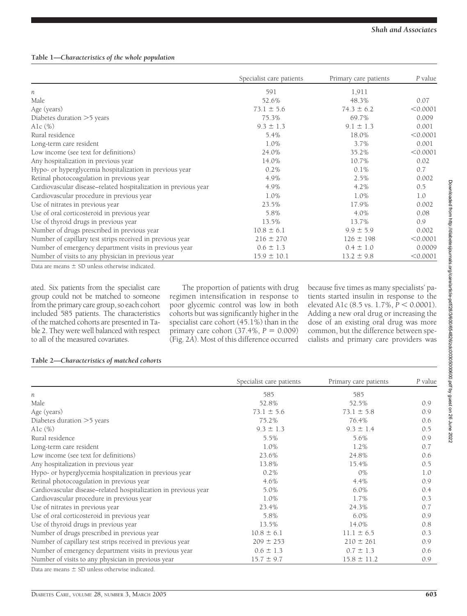## **Table 1—***Characteristics of the whole population*

|                                                                 | Specialist care patients | Primary care patients | P value  |
|-----------------------------------------------------------------|--------------------------|-----------------------|----------|
| n                                                               | 591                      | 1,911                 |          |
| Male                                                            | 52.6%                    | 48.3%                 | 0.07     |
| Age (years)                                                     | $73.1 \pm 5.6$           | $74.3 \pm 6.2$        | < 0.0001 |
| Diabetes duration >5 years                                      | 75.3%                    | 69.7%                 | 0.009    |
| Alc $(\%)$                                                      | $9.3 \pm 1.3$            | $9.1 \pm 1.3$         | 0.001    |
| Rural residence                                                 | 5.4%                     | 18.0%                 | < 0.0001 |
| Long-term care resident                                         | 1.0%                     | 3.7%                  | 0.001    |
| Low income (see text for definitions)                           | 24.0%                    | 35.2%                 | < 0.0001 |
| Any hospitalization in previous year                            | 14.0%                    | 10.7%                 | 0.02     |
| Hypo- or hyperglycemia hospitalization in previous year         | 0.2%                     | $0.1\%$               | 0.7      |
| Retinal photocoagulation in previous year                       | 4.9%                     | 2.5%                  | 0.002    |
| Cardiovascular disease-related hospitalization in previous year | 4.9%                     | 4.2%                  | 0.5      |
| Cardiovascular procedure in previous year                       | 1.0%                     | 1.0%                  | 1.0      |
| Use of nitrates in previous year                                | 23.5%                    | 17.9%                 | 0.002    |
| Use of oral corticosteroid in previous year                     | 5.8%                     | $4.0\%$               | 0.08     |
| Use of thyroid drugs in previous year                           | 13.5%                    | 13.7%                 | 0.9      |
| Number of drugs prescribed in previous year                     | $10.8 \pm 6.1$           | $9.9 \pm 5.9$         | 0.002    |
| Number of capillary test strips received in previous year       | $216 \pm 270$            | $126 \pm 198$         | < 0.0001 |
| Number of emergency department visits in previous year          | $0.6 \pm 1.3$            | $0.4 \pm 1.0$         | 0.0009   |
| Number of visits to any physician in previous year              | $15.9 \pm 10.1$          | $13.2 \pm 9.8$        | < 0.0001 |

Data are means  $\pm$  SD unless otherwise indicated.

ated. Six patients from the specialist care group could not be matched to someone from the primary care group, so each cohort included 585 patients. The characteristics of the matched cohorts are presented in Table 2. They were well balanced with respect to all of the measured covariates.

The proportion of patients with drug regimen intensification in response to poor glycemic control was low in both cohorts but was significantly higher in the specialist care cohort (45.1%) than in the primary care cohort  $(37.4\%, P = 0.009)$ (Fig. 2*A*). Most of this difference occurred because five times as many specialists' patients started insulin in response to the elevated A1c (8.5 vs.  $1.7\%$ ,  $P < 0.0001$ ). Adding a new oral drug or increasing the dose of an existing oral drug was more common, but the difference between specialists and primary care providers was

## **Table 2—***Characteristics of matched cohorts*

|                                                                 | Specialist care patients | Primary care patients | P value |
|-----------------------------------------------------------------|--------------------------|-----------------------|---------|
| п                                                               | 585                      | 585                   |         |
| Male                                                            | 52.8%                    | 52.5%                 | 0.9     |
| Age (years)                                                     | $73.1 \pm 5.6$           | $73.1 \pm 5.8$        | 0.9     |
| Diabetes duration >5 years                                      | 75.2%                    | 76.4%                 | 0.6     |
| Alc $(\%)$                                                      | $9.3 \pm 1.3$            | $9.3 \pm 1.4$         | 0.5     |
| Rural residence                                                 | 5.5%                     | 5.6%                  | 0.9     |
| Long-term care resident                                         | 1.0%                     | 1.2%                  | 0.7     |
| Low income (see text for definitions)                           | 23.6%                    | 24.8%                 | 0.6     |
| Any hospitalization in previous year                            | 13.8%                    | 15.4%                 | 0.5     |
| Hypo- or hyperglycemia hospitalization in previous year         | 0.2%                     | $0\%$                 | 1.0     |
| Retinal photocoagulation in previous year                       | 4.6%                     | 4.4%                  | 0.9     |
| Cardiovascular disease-related hospitalization in previous year | 5.0%                     | $6.0\%$               | 0.4     |
| Cardiovascular procedure in previous year                       | 1.0%                     | 1.7%                  | 0.3     |
| Use of nitrates in previous year                                | 23.4%                    | 24.3%                 | 0.7     |
| Use of oral corticosteroid in previous year                     | 5.8%                     | $6.0\%$               | 0.9     |
| Use of thyroid drugs in previous year                           | 13.5%                    | 14.0%                 | 0.8     |
| Number of drugs prescribed in previous year                     | $10.8 \pm 6.1$           | $11.1 \pm 6.5$        | 0.3     |
| Number of capillary test strips received in previous year       | $209 \pm 253$            | $210 \pm 261$         | 0.9     |
| Number of emergency department visits in previous year          | $0.6 \pm 1.3$            | $0.7 \pm 1.3$         | 0.6     |
| Number of visits to any physician in previous year              | $15.7 \pm 9.7$           | $15.8 \pm 11.2$       | 0.9     |
| Data are means $\pm$ CD unless otherwise indicated              |                          |                       |         |

Data are means  $\pm$  SD unless otherwise indicated.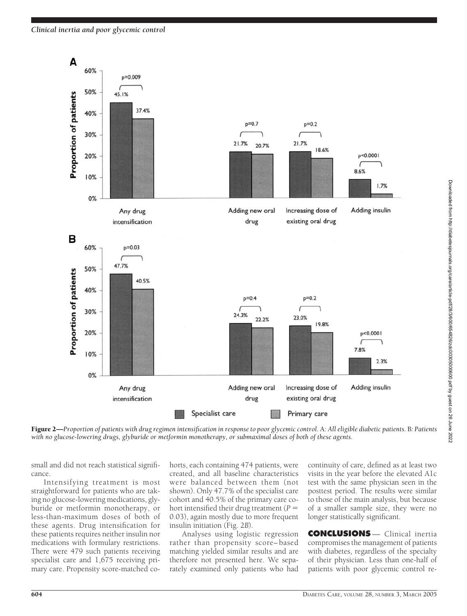## *Clinical inertia and poor glycemic control*



Figure 2—*Proportion of patients with drug regimen intensification in response to poor glycemic control.* A*: All eligible diabetic patients.* B*: Patients with no glucose-lowering drugs, glyburide or metformin monotherapy, or submaximal doses of both of these agents.*

small and did not reach statistical significance.

Intensifying treatment is most straightforward for patients who are taking no glucose-lowering medications, glyburide or metformin monotherapy, or less-than-maximum doses of both of these agents. Drug intensification for these patients requires neither insulin nor medications with formulary restrictions. There were 479 such patients receiving specialist care and 1,675 receiving primary care. Propensity score-matched co-

horts, each containing 474 patients, were created, and all baseline characteristics were balanced between them (not shown). Only 47.7% of the specialist care cohort and 40.5% of the primary care cohort intensified their drug treatment ( $P =$ 0.03), again mostly due to more frequent insulin initiation (Fig. 2*B*).

Analyses using logistic regression rather than propensity score–based matching yielded similar results and are therefore not presented here. We separately examined only patients who had

continuity of care, defined as at least two visits in the year before the elevated A1c test with the same physician seen in the posttest period. The results were similar to those of the main analysis, but because of a smaller sample size, they were no longer statistically significant.

**CONCLUSIONS** — Clinical inertia compromises the management of patients with diabetes, regardless of the specialty of their physician. Less than one-half of patients with poor glycemic control re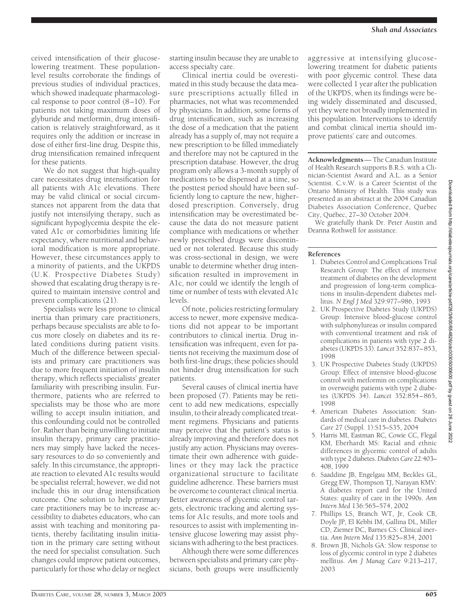ceived intensification of their glucoselowering treatment. These populationlevel results corroborate the findings of previous studies of individual practices, which showed inadequate pharmacological response to poor control (8–10). For patients not taking maximum doses of glyburide and metformin, drug intensification is relatively straightforward, as it requires only the addition or increase in dose of either first-line drug. Despite this, drug intensification remained infrequent for these patients.

We do not suggest that high-quality care necessitates drug intensification for all patients with A1c elevations. There may be valid clinical or social circumstances not apparent from the data that justify not intensifying therapy, such as significant hypoglycemia despite the elevated A1c or comorbidities limiting life expectancy, where nutritional and behavioral modification is more appropriate. However, these circumstances apply to a minority of patients, and the UKPDS (U.K. Prospective Diabetes Study) showed that escalating drug therapy is required to maintain intensive control and prevent complications (21).

Specialists were less prone to clinical inertia than primary care practitioners, perhaps because specialists are able to focus more closely on diabetes and its related conditions during patient visits. Much of the difference between specialists and primary care practitioners was due to more frequent initiation of insulin therapy, which reflects specialists' greater familiarity with prescribing insulin. Furthermore, patients who are referred to specialists may be those who are more willing to accept insulin initiation, and this confounding could not be controlled for. Rather than being unwilling to initiate insulin therapy, primary care practitioners may simply have lacked the necessary resources to do so conveniently and safely. In this circumstance, the appropriate reaction to elevated A1c results would be specialist referral; however, we did not include this in our drug intensification outcome. One solution to help primary care practitioners may be to increase accessibility to diabetes educators, who can assist with teaching and monitoring patients, thereby facilitating insulin initiation in the primary care setting without the need for specialist consultation. Such changes could improve patient outcomes, particularly for those who delay or neglect

starting insulin because they are unable to access specialty care.

Clinical inertia could be overestimated in this study because the data measure prescriptions actually filled in pharmacies, not what was recommended by physicians. In addition, some forms of drug intensification, such as increasing the dose of a medication that the patient already has a supply of, may not require a new prescription to be filled immediately and therefore may not be captured in the prescription database. However, the drug program only allows a 3-month supply of medications to be dispensed at a time, so the posttest period should have been sufficiently long to capture the new, higherdosed prescription. Conversely, drug intensification may be overestimated because the data do not measure patient compliance with medications or whether newly prescribed drugs were discontinued or not tolerated. Because this study was cross-sectional in design, we were unable to determine whether drug intensification resulted in improvement in A1c, nor could we identify the length of time or number of tests with elevated A1c levels.

Of note, policies restricting formulary access to newer, more expensive medications did not appear to be important contributors to clinical inertia. Drug intensification was infrequent, even for patients not receiving the maximum dose of both first-line drugs; these policies should not hinder drug intensification for such patients.

Several causes of clinical inertia have been proposed (7). Patients may be reticent to add new medications, especially insulin, to their already complicated treatment regimens. Physicians and patients may perceive that the patient's status is already improving and therefore does not justify any action. Physicians may overestimate their own adherence with guidelines or they may lack the practice organizational structure to facilitate guideline adherence. These barriers must be overcome to counteract clinical inertia. Better awareness of glycemic control targets, electronic tracking and alerting systems for A1c results, and more tools and resources to assist with implementing intensive glucose lowering may assist physicians with adhering to the best practices.

Although there were some differences between specialists and primary care physicians, both groups were insufficiently aggressive at intensifying glucoselowering treatment for diabetic patients with poor glycemic control. These data were collected 1 year after the publication of the UKPDS, when its findings were being widely disseminated and discussed, yet they were not broadly implemented in this population. Interventions to identify and combat clinical inertia should improve patients' care and outcomes.

**Acknowledgments**— The Canadian Institute of Health Research supports B.R.S. with a Clinician-Scientist Award and A.L. as a Senior Scientist. C.v.W. is a Career Scientist of the Ontario Ministry of Health. This study was presented as an abstract at the 2004 Canadian Diabetes Association Conference, Québec City, Québec, 27-30 October 2004.

We gratefully thank Dr. Peter Austin and Deanna Rothwell for assistance.

#### **References**

- 1. Diabetes Control and Complications Trial Research Group: The effect of intensive treatment of diabetes on the development and progression of long-term complications in insulin-dependent diabetes mellitus. *N Engl J Med* 329:977–986, 1993
- 2. UK Prospective Diabetes Study (UKPDS) Group: Intensive blood-glucose control with sulphonylureas or insulin compared with conventional treatment and risk of complications in patients with type 2 diabetes (UKPDS 33). *Lancet* 352:837–853, 1998
- 3. UK Prospective Diabetes Study (UKPDS) Group: Effect of intensive blood-glucose control with metformin on complications in overweight patients with type 2 diabetes (UKPDS 34). *Lancet* 352:854–865, 1998
- 4. American Diabetes Association: Standards of medical care in diabetes. *Diabetes Care* 27 (Suppl. 1):S15–S35, 2004
- 5. Harris MI, Eastman RC, Cowie CC, Flegal KM, Eberhardt MS: Racial and ethnic differences in glycemic control of adults with type 2 diabetes.*Diabetes Care* 22:403– 408, 1999
- 6. Saaddine JB, Engelgau MM, Beckles GL, Gregg EW, Thompson TJ, Narayan KMV: A diabetes report card for the United States: quality of care in the 1990s. *Ann Intern Med* 136:565–574, 2002
- 7. Phillips LS, Branch WT, Jr, Cook CB, Doyle JP, El Kebbi IM, Gallina DL, Miller CD, Ziemer DC, Barnes CS: Clinical inertia. *Ann Intern Med* 135:825–834, 2001
- 8. Brown JB, Nichols GA: Slow response to loss of glycemic control in type 2 diabetes mellitus. *Am J Manag Care* 9:213–217, 2003